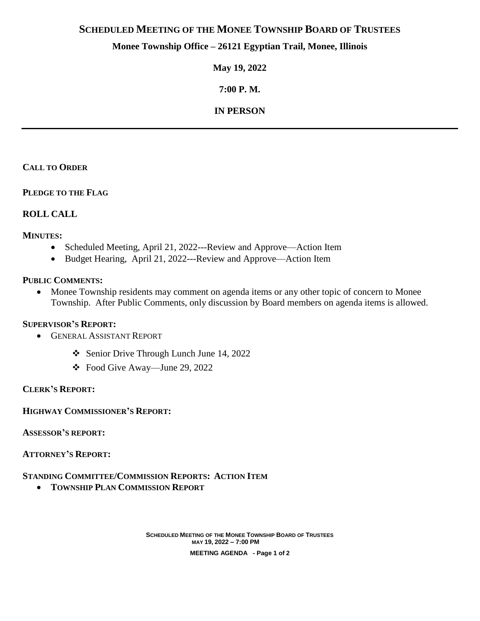# **SCHEDULED MEETING OF THE MONEE TOWNSHIP BOARD OF TRUSTEES**

# **Monee Township Office – 26121 Egyptian Trail, Monee, Illinois**

**May 19, 2022**

**7:00 P. M.**

# **IN PERSON**

### **CALL TO ORDER**

#### **PLEDGE TO THE FLAG**

## **ROLL CALL**

#### **MINUTES:**

- Scheduled Meeting, April 21, 2022---Review and Approve—Action Item
- Budget Hearing, April 21, 2022---Review and Approve—Action Item

### **PUBLIC COMMENTS:**

• Monee Township residents may comment on agenda items or any other topic of concern to Monee Township. After Public Comments, only discussion by Board members on agenda items is allowed.

#### **SUPERVISOR'S REPORT:**

- **GENERAL ASSISTANT REPORT** 
	- Senior Drive Through Lunch June 14, 2022
	- Food Give Away—June 29, 2022

#### **CLERK'S REPORT:**

**HIGHWAY COMMISSIONER'S REPORT:**

**ASSESSOR'S REPORT:**

#### **ATTORNEY'S REPORT:**

## **STANDING COMMITTEE/COMMISSION REPORTS: ACTION ITEM**

**TOWNSHIP PLAN COMMISSION REPORT**

**SCHEDULED MEETING OF THE MONEE TOWNSHIP BOARD OF TRUSTEES MAY 19, 2022 – 7:00 PM MEETING AGENDA - Page 1 of 2**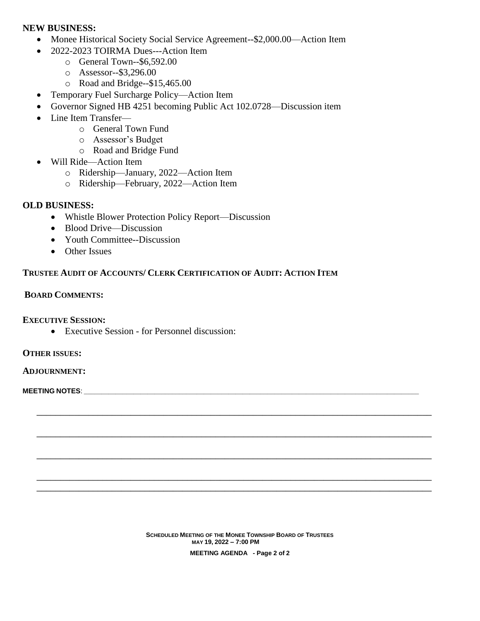### **NEW BUSINESS:**

- Monee Historical Society Social Service Agreement--\$2,000.00—Action Item
- 2022-2023 TOIRMA Dues---Action Item
	- o General Town--\$6,592.00
	- o Assessor--\$3,296.00
	- o Road and Bridge--\$15,465.00
- Temporary Fuel Surcharge Policy—Action Item
- Governor Signed HB 4251 becoming Public Act 102.0728—Discussion item
- Line Item Transfer
	- o General Town Fund
	- o Assessor's Budget
	- o Road and Bridge Fund
- Will Ride—Action Item
	- o Ridership—January, 2022—Action Item
	- o Ridership—February, 2022—Action Item

# **OLD BUSINESS:**

- Whistle Blower Protection Policy Report—Discussion
- Blood Drive—Discussion
- Youth Committee--Discussion
- Other Issues

# **TRUSTEE AUDIT OF ACCOUNTS/ CLERK CERTIFICATION OF AUDIT: ACTION ITEM**

## **BOARD COMMENTS:**

## **EXECUTIVE SESSION:**

Executive Session - for Personnel discussion:

#### **OTHER ISSUES:**

#### **ADJOURNMENT:**

**MEETING NOTES:** 

**SCHEDULED MEETING OF THE MONEE TOWNSHIP BOARD OF TRUSTEES MAY 19, 2022 – 7:00 PM MEETING AGENDA - Page 2 of 2**

**\_\_\_\_\_\_\_\_\_\_\_\_\_\_\_\_\_\_\_\_\_\_\_\_\_\_\_\_\_\_\_\_\_\_\_\_\_\_\_\_\_\_\_\_\_\_\_\_\_\_\_\_\_\_\_\_\_\_\_\_\_\_\_\_\_\_\_\_\_\_\_\_\_\_\_\_\_\_\_\_\_\_\_\_**

**\_\_\_\_\_\_\_\_\_\_\_\_\_\_\_\_\_\_\_\_\_\_\_\_\_\_\_\_\_\_\_\_\_\_\_\_\_\_\_\_\_\_\_\_\_\_\_\_\_\_\_\_\_\_\_\_\_\_\_\_\_\_\_\_\_\_\_\_\_\_\_\_\_\_\_\_\_\_\_\_\_\_\_\_**

**\_\_\_\_\_\_\_\_\_\_\_\_\_\_\_\_\_\_\_\_\_\_\_\_\_\_\_\_\_\_\_\_\_\_\_\_\_\_\_\_\_\_\_\_\_\_\_\_\_\_\_\_\_\_\_\_\_\_\_\_\_\_\_\_\_\_\_\_\_\_\_\_\_\_\_\_\_\_\_\_\_\_\_\_**

**\_\_\_\_\_\_\_\_\_\_\_\_\_\_\_\_\_\_\_\_\_\_\_\_\_\_\_\_\_\_\_\_\_\_\_\_\_\_\_\_\_\_\_\_\_\_\_\_\_\_\_\_\_\_\_\_\_\_\_\_\_\_\_\_\_\_\_\_\_\_\_\_\_\_\_\_\_\_\_\_\_\_\_\_ \_\_\_\_\_\_\_\_\_\_\_\_\_\_\_\_\_\_\_\_\_\_\_\_\_\_\_\_\_\_\_\_\_\_\_\_\_\_\_\_\_\_\_\_\_\_\_\_\_\_\_\_\_\_\_\_\_\_\_\_\_\_\_\_\_\_\_\_\_\_\_\_\_\_\_\_\_\_\_\_\_\_\_\_**